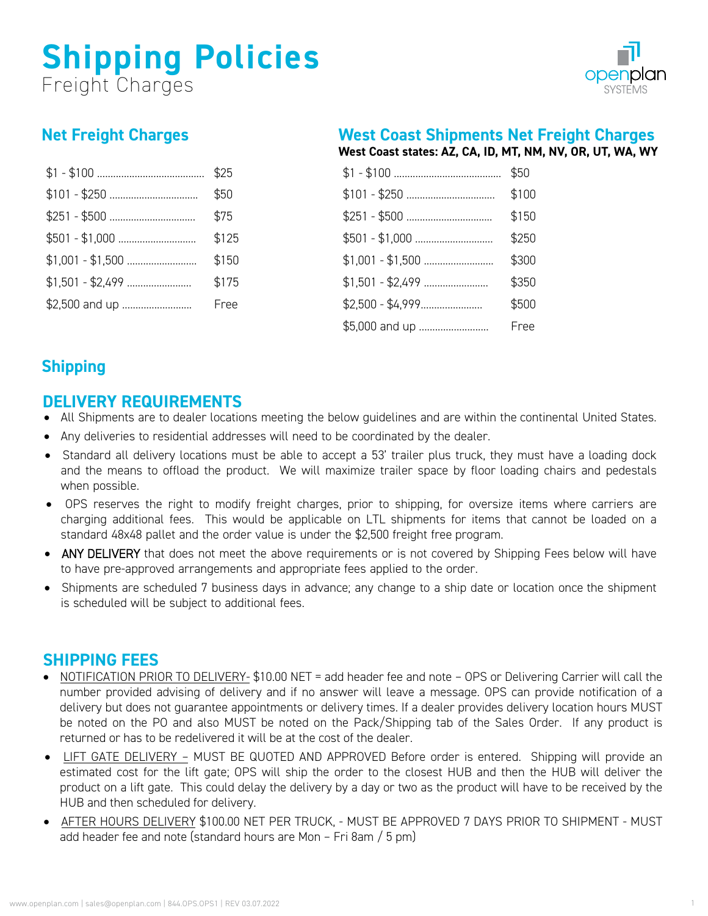# **Shipping Policies** Freight Charges



## **Net Freight Charges**

|                | \$25  |
|----------------|-------|
|                | \$50  |
|                | \$75  |
|                | \$125 |
|                | \$150 |
|                | \$175 |
| \$2,500 and up | Free  |

## **West Coast Shipments Net Freight Charges**

**West Coast states: AZ, CA, ID, MT, NM, NV, OR, UT, WA, WY**

|                | \$50  |
|----------------|-------|
|                | \$100 |
|                | \$150 |
|                | \$250 |
|                | \$300 |
|                | \$350 |
|                | \$500 |
| \$5,000 and up | Free  |

## **Shipping**

## **DELIVERY REQUIREMENTS**

- All Shipments are to dealer locations meeting the below guidelines and are within the continental United States.
- Any deliveries to residential addresses will need to be coordinated by the dealer.
- Standard all delivery locations must be able to accept a 53' trailer plus truck, they must have a loading dock and the means to offload the product. We will maximize trailer space by floor loading chairs and pedestals when possible.
- OPS reserves the right to modify freight charges, prior to shipping, for oversize items where carriers are charging additional fees. This would be applicable on LTL shipments for items that cannot be loaded on a standard 48x48 pallet and the order value is under the \$2,500 freight free program.
- ANY DELIVERY that does not meet the above requirements or is not covered by Shipping Fees below will have to have pre-approved arrangements and appropriate fees applied to the order.
- Shipments are scheduled 7 business days in advance; any change to a ship date or location once the shipment is scheduled will be subject to additional fees.

## **SHIPPING FEES**

- NOTIFICATION PRIOR TO DELIVERY- \$10.00 NET = add header fee and note OPS or Delivering Carrier will call the number provided advising of delivery and if no answer will leave a message. OPS can provide notification of a delivery but does not guarantee appointments or delivery times. If a dealer provides delivery location hours MUST be noted on the PO and also MUST be noted on the Pack/Shipping tab of the Sales Order. If any product is returned or has to be redelivered it will be at the cost of the dealer.
- LIFT GATE DELIVERY MUST BE QUOTED AND APPROVED Before order is entered. Shipping will provide an estimated cost for the lift gate; OPS will ship the order to the closest HUB and then the HUB will deliver the product on a lift gate. This could delay the delivery by a day or two as the product will have to be received by the HUB and then scheduled for delivery.
- AFTER HOURS DELIVERY \$100.00 NET PER TRUCK, MUST BE APPROVED 7 DAYS PRIOR TO SHIPMENT MUST add header fee and note (standard hours are Mon – Fri 8am / 5 pm)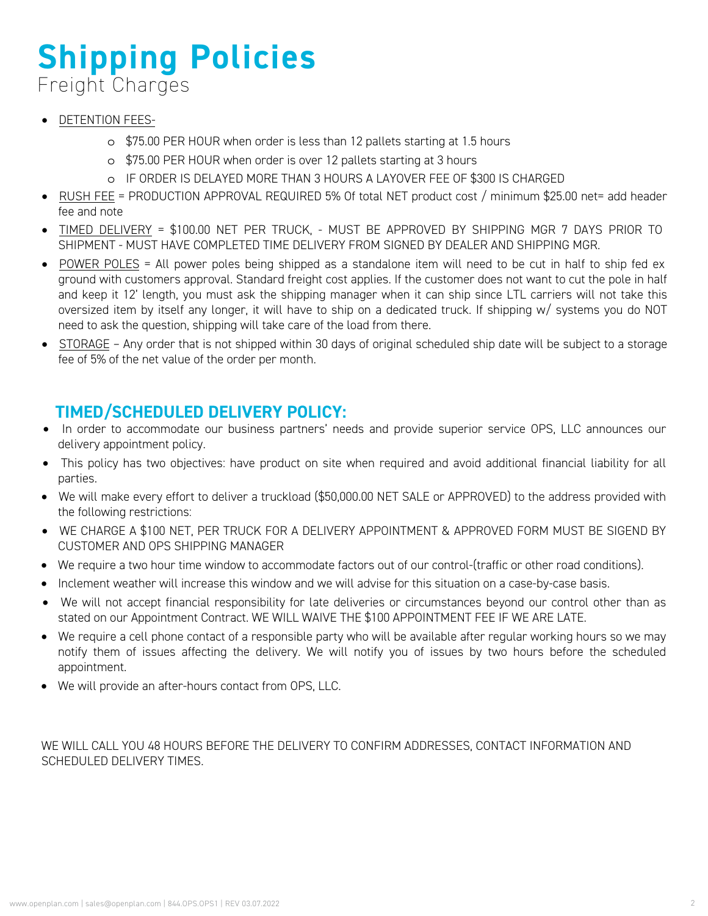# **Shipping Policies** Freight Charges

- DETENTION FEES
	- o \$75.00 PER HOUR when order is less than 12 pallets starting at 1.5 hours
	- o \$75.00 PER HOUR when order is over 12 pallets starting at 3 hours
	- o IF ORDER IS DELAYED MORE THAN 3 HOURS A LAYOVER FEE OF \$300 IS CHARGED
- RUSH FEE = PRODUCTION APPROVAL REQUIRED 5% Of total NET product cost / minimum \$25.00 net= add header fee and note
- TIMED DELIVERY = \$100.00 NET PER TRUCK, MUST BE APPROVED BY SHIPPING MGR 7 DAYS PRIOR TO SHIPMENT - MUST HAVE COMPLETED TIME DELIVERY FROM SIGNED BY DEALER AND SHIPPING MGR.
- POWER POLES = All power poles being shipped as a standalone item will need to be cut in half to ship fed ex ground with customers approval. Standard freight cost applies. If the customer does not want to cut the pole in half and keep it 12' length, you must ask the shipping manager when it can ship since LTL carriers will not take this oversized item by itself any longer, it will have to ship on a dedicated truck. If shipping w/ systems you do NOT need to ask the question, shipping will take care of the load from there.
- STORAGE Any order that is not shipped within 30 days of original scheduled ship date will be subject to a storage fee of 5% of the net value of the order per month.

## **TIMED/SCHEDULED DELIVERY POLICY:**

- In order to accommodate our business partners' needs and provide superior service OPS, LLC announces our delivery appointment policy.
- This policy has two objectives: have product on site when required and avoid additional financial liability for all parties.
- We will make every effort to deliver a truckload (\$50,000.00 NET SALE or APPROVED) to the address provided with the following restrictions:
- WE CHARGE A \$100 NET, PER TRUCK FOR A DELIVERY APPOINTMENT & APPROVED FORM MUST BE SIGEND BY CUSTOMER AND OPS SHIPPING MANAGER
- We require a two hour time window to accommodate factors out of our control-(traffic or other road conditions).
- Inclement weather will increase this window and we will advise for this situation on a case-by-case basis.
- We will not accept financial responsibility for late deliveries or circumstances beyond our control other than as stated on our Appointment Contract. WE WILL WAIVE THE \$100 APPOINTMENT FEE IF WE ARE LATE.
- We require a cell phone contact of a responsible party who will be available after regular working hours so we may notify them of issues affecting the delivery. We will notify you of issues by two hours before the scheduled appointment.
- We will provide an after-hours contact from OPS, LLC.

WE WILL CALL YOU 48 HOURS BEFORE THE DELIVERY TO CONFIRM ADDRESSES, CONTACT INFORMATION AND SCHEDULED DELIVERY TIMES.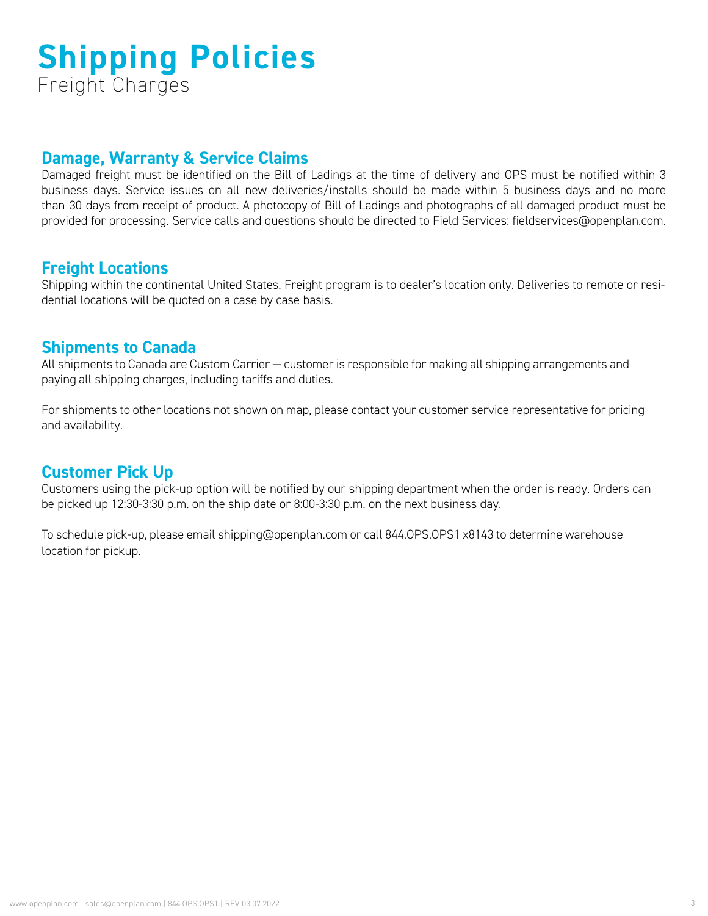# **Shipping Policies** Freight Charges

## **Damage, Warranty & Service Claims**

Damaged freight must be identified on the Bill of Ladings at the time of delivery and OPS must be notified within 3 business days. Service issues on all new deliveries/installs should be made within 5 business days and no more than 30 days from receipt of product. A photocopy of Bill of Ladings and photographs of all damaged product must be provided for processing. Service calls and questions should be directed to Field Services: fieldservices@openplan.com.

## **Freight Locations**

Shipping within the continental United States. Freight program is to dealer's location only. Deliveries to remote or residential locations will be quoted on a case by case basis.

## **Shipments to Canada**

All shipments to Canada are Custom Carrier — customer is responsible for making all shipping arrangements and paying all shipping charges, including tariffs and duties.

For shipments to other locations not shown on map, please contact your customer service representative for pricing and availability.

## **Customer Pick Up**

Customers using the pick-up option will be notified by our shipping department when the order is ready. Orders can be picked up 12:30-3:30 p.m. on the ship date or 8:00-3:30 p.m. on the next business day.

To schedule pick-up, please email shipping@openplan.com or call 844.OPS.OPS1 x8143 to determine warehouse location for pickup.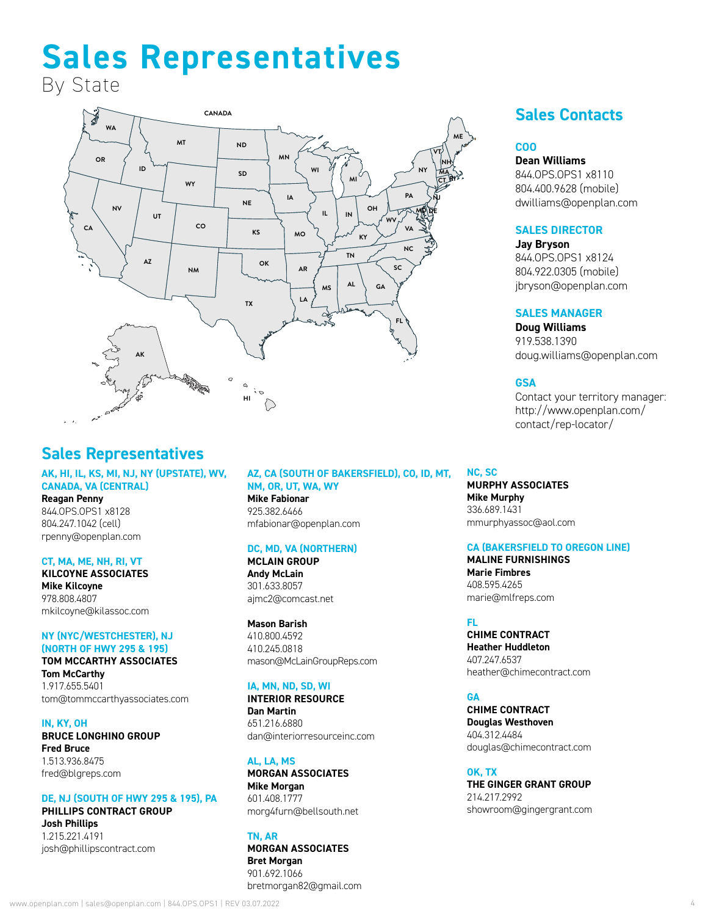# **Sales Representatives**

By State



## **Sales Representatives**

#### **AK, HI, IL, KS, MI, NJ, NY (UPSTATE), WV, CANADA, VA (CENTRAL)**

**Reagan Penny** 844.OPS.OPS1 x8128 804.247.1042 (cell) rpenny@openplan.com

#### **CT, MA, ME, NH, RI, VT**

**KILCOYNE ASSOCIATES Mike Kilcoyne** 978.808.4807 mkilcoyne@kilassoc.com

#### **NY (NYC/WESTCHESTER), NJ (NORTH OF HWY 295 & 195) TOM MCCARTHY ASSOCIATES**

**Tom McCarthy** 1.917.655.5401 tom@tommccarthyassociates.com

#### **IN, KY, OH**

#### **BRUCE LONGHINO GROUP Fred Bruce**

1.513.936.8475 fred@blgreps.com

#### **DE, NJ (SOUTH OF HWY 295 & 195), PA PHILLIPS CONTRACT GROUP**

**Josh Phillips** 1.215.221.4191 josh@phillipscontract.com

#### **AZ, CA (SOUTH OF BAKERSFIELD), CO, ID, MT, NM, OR, UT, WA, WY**

**Mike Fabionar** 925.382.6466 mfabionar@openplan.com

#### **DC, MD, VA (NORTHERN)**

**MCLAIN GROUP Andy McLain** 301.633.8057 ajmc2@comcast.net

#### **Mason Barish**

410.800.4592 410.245.0818 mason@McLainGroupReps.com

#### **IA, MN, ND, SD, WI**

**INTERIOR RESOURCE Dan Martin** 651.216.6880 dan@interiorresourceinc.com

**AL, LA, MS MORGAN ASSOCIATES Mike Morgan** 601.408.1777 morg4furn@bellsouth.net

#### **TN, AR MORGAN ASSOCIATES Bret Morgan** 901.692.1066

bretmorgan82@gmail.com

## **Sales Contacts**

#### **COO**

**Dean Williams**

844.OPS.OPS1 x8110 804.400.9628 (mobile) dwilliams@openplan.com

#### **SALES DIRECTOR**

**Jay Bryson** 844.OPS.OPS1 x8124 804.922.0305 (mobile) jbryson@openplan.com

#### **SALES MANAGER**

**Doug Williams** 919.538.1390 doug.williams@openplan.com

#### **GSA**

Contact your territory manager: [http://www.openplan.com/](http://www.openplan.com/contact/tm-locator/) [contact/rep-locator/](http://www.openplan.com/contact/tm-locator/)

#### **NC, SC**

**MURPHY ASSOCIATES Mike Murphy** 336.689.1431 mmurphyassoc@aol.com

#### **CA (BAKERSFIELD TO OREGON LINE)**

**MALINE FURNISHINGS Marie Fimbres** 408.595.4265 marie@mlfreps.com

#### **FL**

**CHIME CONTRACT Heather Huddleton** 407.247.6537 heather@chimecontract.com

#### **GA**

**CHIME CONTRACT Douglas Westhoven** 404.312.4484 douglas@chimecontract.com

**OK, TX THE GINGER GRANT GROUP** 214.217.2992 showroom@gingergrant.com